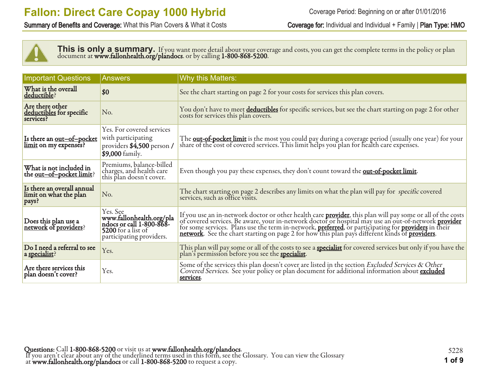Summary of Benefits and Coverage: What this Plan Covers & What it Costs Coverage for: Individual and Individual + Family | Plan Type: HMO



This is only a summary. If you want more detail about your coverage and costs, you can get the complete terms in the policy or plan document at **www.fallonhealth.org/plandocs**. or by calling **1-800-868-5200**.

| <b>Important Questions</b>                                  | <b>Answers</b>                                                                                                     | <b>Why this Matters:</b>                                                                                                                                                                                                                  |
|-------------------------------------------------------------|--------------------------------------------------------------------------------------------------------------------|-------------------------------------------------------------------------------------------------------------------------------------------------------------------------------------------------------------------------------------------|
| What is the overall<br>deductible?                          | \$0                                                                                                                | See the chart starting on page 2 for your costs for services this plan covers.                                                                                                                                                            |
| Are there other<br>deductibles for specific<br>services?    | No.                                                                                                                | You don't have to meet deductibles for specific services, but see the chart starting on page 2 for other<br>costs for services this plan covers.                                                                                          |
| Is there an <u>out-of-pocket</u><br>limit on my expenses?   | Yes. For covered services<br>with participating<br>providers \$4,500 person /<br>\$9,000 family.                   | The <b><u>out-of-pocket limit</u></b> is the most you could pay during a coverage period (usually one year) for your<br>share of the cost of covered services. This limit helps you plan for health care expenses.                        |
| What is not included in<br>the <u>out-of-pocket limit</u> ? | Premiums, balance-billed<br>charges, and health care<br>this plan doesn't cover.                                   | Even though you pay these expenses, they don't count toward the <b>out-of-pocket limit</b> .                                                                                                                                              |
| Is there an overall annual<br>limit on what the plan        | No.                                                                                                                | The chart starting on page 2 describes any limits on what the plan will pay for specific covered services, such as office visits.                                                                                                         |
| Does this plan use a<br>network of providers?               | Yes. See<br>www.fallonhealth.org/pla<br>ndocs or call 1-800-868-<br>5200 for a list of<br>participating providers. | If you use an in-network doctor or other health care <b>provider</b> , this plan will pay some or all of the costs of covered services. Be aware, your in-network doctor or hospital may use an out-of-network <b>provider</b> for some s |
| Do I need a referral to see<br>a specialist?                | Yes.                                                                                                               | This plan will pay some or all of the costs to see a <b>specialist</b> for covered services but only if you have the plan's permission before you see the <b>specialist</b> .                                                             |
| Are there services this<br>plan doesn't cover?              | Yes.                                                                                                               | Some of the services this plan doesn't cover are listed in the section Excluded Services & Other<br>Covered Services. See your policy or plan document for additional information about excluded<br>services.                             |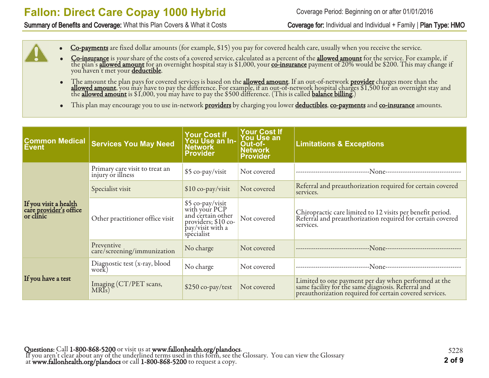Summary of Benefits and Coverage: What this Plan Covers & What it Costs Coverage for: Individual and Individual + Family | Plan Type: HMO

- Co-payments are fixed dollar amounts (for example, \$15) you pay for covered health care, usually when you receive the service.
- Co-insurance is your share of the costs of a covered service, calculated as a percent of the allowed amount for the service. For example, if the plan's <u>allowed amount</u> for an overnight hospital stay is \$1,000, your <u>co-insurance</u> payment of 20% would be \$200. This may change if you haven't met your <mark>deductible</mark>.
- The amount the plan pays for covered services is based on the **allowed amount**. If an out-of-network **provider** charges more than the **allowed amount**, you may have to pay the difference. For example, if an out-of-network hospital charges \$1,500 for an overnight stay and the <u>allowed amount</u> is \$1,000, you may have to pay the \$500 difference. (This is called <u>balance billing</u>.)
- This plan may encourage you to use in-network providers by charging you lower deductibles, co-payments and co-insurance amounts.

| <b>Common Medical</b><br><b>Event</b>                               | <b>Services You May Need</b>                        | Your Cost if<br>You Use an In-<br><b>Network</b><br><b>Provider</b>                                              | <b>Your Cost If</b><br><b>You Use an</b><br>Out-of-<br><b>Network</b><br><b>Provider</b> | <b>Limitations &amp; Exceptions</b>                                                                                                                                   |
|---------------------------------------------------------------------|-----------------------------------------------------|------------------------------------------------------------------------------------------------------------------|------------------------------------------------------------------------------------------|-----------------------------------------------------------------------------------------------------------------------------------------------------------------------|
|                                                                     | Primary care visit to treat an<br>injury or illness | \$5 co-pay/visit                                                                                                 | Not covered                                                                              |                                                                                                                                                                       |
|                                                                     | Specialist visit                                    | $$10$ co-pay/visit                                                                                               | Not covered                                                                              | Referral and preauthorization required for certain covered<br>services.                                                                                               |
| If you visit a health<br>care <u>provider's</u> office<br>or clinic | Other practitioner office visit                     | \$5 co-pay/visit<br>with your PCP<br>and certain other<br>providers; $$10$ co-<br>pay/visit with a<br>specialist | Not covered                                                                              | Chiropractic care limited to 12 visits per benefit period.<br>Referral and preauthorization required for certain covered<br>services.                                 |
|                                                                     | Preventive<br>care/screening/immunization           | No charge                                                                                                        | Not covered                                                                              |                                                                                                                                                                       |
|                                                                     | Diagnostic test (x-ray, blood<br>work)              | No charge                                                                                                        | Not covered                                                                              | ---None--------------------------<br>-------------------------------                                                                                                  |
| If you have a test                                                  | Imaging (CT/PET scans,<br>MRIs)                     | $$250$ co-pay/test                                                                                               | Not covered                                                                              | Limited to one payment per day when performed at the<br>same facility for the same diagnosis. Referral and<br>preauthorization required for certain covered services. |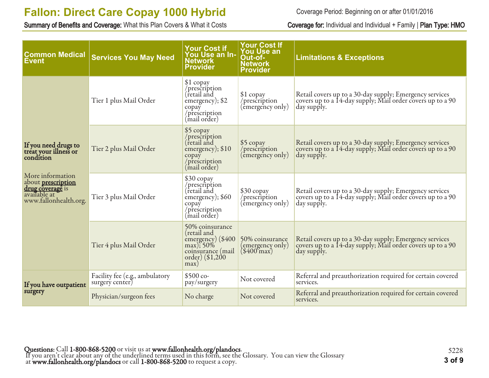Summary of Benefits and Coverage: What this Plan Covers & What it Costs Coverage for: Individual and Individual + Family | Plan Type: HMO

Coverage Period: Beginning on or after 01/01/2016

| <b>Common Medical</b><br><b>Event</b>                                                                      | <b>Services You May Need</b>                      | <b>Your Cost if</b><br>You Use an In-<br><b>Network</b><br><b>Provider</b>                                       | <b>Your Cost If</b><br><b>You Use an</b><br>Out-of-<br><b>Network</b><br><b>Provider</b> | <b>Limitations &amp; Exceptions</b>                                                                                                  |
|------------------------------------------------------------------------------------------------------------|---------------------------------------------------|------------------------------------------------------------------------------------------------------------------|------------------------------------------------------------------------------------------|--------------------------------------------------------------------------------------------------------------------------------------|
|                                                                                                            | Tier 1 plus Mail Order                            | \$1 copay<br>/prescription<br>(retail and<br>emergency); \$2<br>copay<br>/prescription<br>(mail order)           | $$1$ copay<br>/prescription<br>(emergency only)                                          | Retail covers up to a 30-day supply; Emergency services<br>covers up to a 14-day supply; Mail order covers up to a 90<br>day supply. |
| If you need drugs to<br>treat your illness or<br>condition                                                 | Tier 2 plus Mail Order                            | \$5 copay<br>/prescription<br>(retail and<br>emergency); \$10<br>copay<br>/prescription<br>(mail order)          | \$5 copay<br>/prescription<br>(emergency only)                                           | Retail covers up to a 30-day supply; Emergency services<br>covers up to a 14-day supply; Mail order covers up to a 90<br>day supply. |
| More information<br>about <b>prescription</b><br>drug coverage is<br>available at<br>www.fallonhealth.org. | Tier 3 plus Mail Order                            | \$30 copay<br>/prescription<br>(retail and<br>emergency); \$60<br>copay<br>/prescription<br>(mail order)         | \$30 copay<br>/prescription<br>(êmergency only)                                          | Retail covers up to a 30-day supply; Emergency services<br>covers up to a 14-day supply; Mail order covers up to a 90<br>day supply. |
|                                                                                                            | Tier 4 plus Mail Order                            | 50% coinsurance<br>(retail and<br>emergency) (\$400<br>max); 50%<br>coinsurance (mail<br>order) (\$1,200<br>max) | 50% coinsurance<br>(emergency only)<br>$(\$400\text{ max})$                              | Retail covers up to a 30-day supply; Emergency services<br>covers up to a 14-day supply; Mail order covers up to a 90<br>day supply. |
| If you have outpatient                                                                                     | Facility fee (e.g., ambulatory<br>surgery center. | $$500 co-$<br>pay/surgery                                                                                        | Not covered                                                                              | Referral and preauthorization required for certain covered<br>services.                                                              |
| surgery                                                                                                    | Physician/surgeon fees                            | No charge                                                                                                        | Not covered                                                                              | Referral and preauthorization required for certain covered<br>services.                                                              |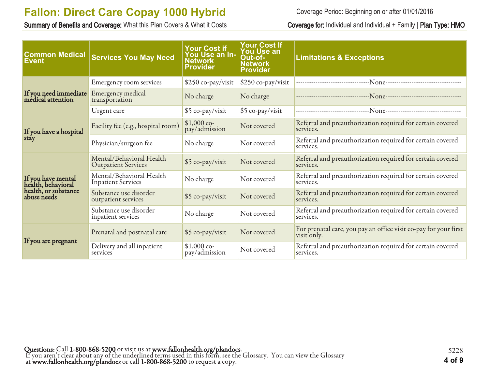Summary of Benefits and Coverage: What this Plan Covers & What it Costs Coverage for: Individual and Individual + Family | Plan Type: HMO

Coverage Period: Beginning on or after 01/01/2016

| <b>Common Medical</b><br><b>Event</b>      | <b>Services You May Need</b>                           | <b>Your Cost if</b><br>You Use an In-<br>Network<br><b>Provider</b> | <b>Your Cost If</b><br><b>You Use an</b><br>Out-of-<br><b>Network</b><br><b>Provider</b> | <b>Limitations &amp; Exceptions</b>                                                  |
|--------------------------------------------|--------------------------------------------------------|---------------------------------------------------------------------|------------------------------------------------------------------------------------------|--------------------------------------------------------------------------------------|
|                                            | Emergency room services                                | \$250 co-pay/visit                                                  | \$250 co-pay/visit                                                                       |                                                                                      |
| If you need immediate<br>medical attention | Emergency medical<br>transportation                    | No charge                                                           | No charge                                                                                |                                                                                      |
|                                            | Urgent care                                            | \$5 co-pay/visit                                                    | \$5 co-pay/visit                                                                         | ---------------------------------N <sub>0NC</sub> ---------------------------------- |
| If you have a hospital                     | Facility fee (e.g., hospital room)                     | $$1,000$ co-<br>pay/admission                                       | Not covered                                                                              | Referral and preauthorization required for certain covered<br>services.              |
| stay                                       | Physician/surgeon fee                                  | No charge<br>Not covered                                            |                                                                                          | Referral and preauthorization required for certain covered<br>services.              |
|                                            | Mental/Behavioral Health<br><b>Outpatient Services</b> | \$5 co-pay/visit                                                    | Not covered                                                                              | Referral and preauthorization required for certain covered<br>services.              |
| If you have mental<br>health, behavioral   | Mental/Behavioral Health<br><b>Inpatient Services</b>  | No charge                                                           | Not covered                                                                              | Referral and preauthorization required for certain covered<br>services.              |
| health, or substance<br>abuse needs        | Substance use disorder<br>outpatient services          | \$5 co-pay/visit                                                    | Not covered                                                                              | Referral and preauthorization required for certain covered<br>services.              |
|                                            | Substance use disorder<br>inpatient services           | No charge                                                           | Not covered                                                                              | Referral and preauthorization required for certain covered<br>services.              |
|                                            | Prenatal and postnatal care                            | \$5 co-pay/visit                                                    | Not covered                                                                              | For prenatal care, you pay an office visit co-pay for your first<br>visit only.      |
| If you are pregnant                        | Delivery and all inpatient<br>services                 | $$1,000$ co-<br>pay/admission                                       | Not covered                                                                              | Referral and preauthorization required for certain covered<br>services.              |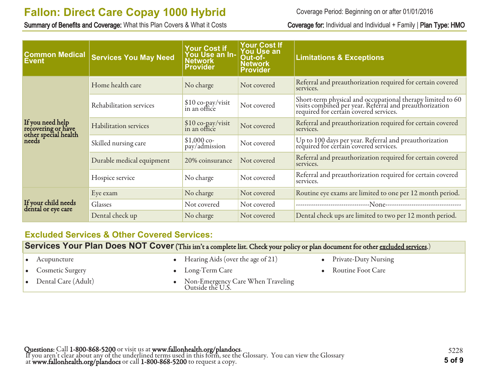Summary of Benefits and Coverage: What this Plan Covers & What it Costs Coverage for: Individual and Individual + Family | Plan Type: HMO

Coverage Period: Beginning on or after 01/01/2016

| <b>Common Medical</b><br><b>Event</b>                                   | <b>Services You May Need</b> | <b>Your Cost if</b><br>You Use an In-<br><b>Network</b><br><b>Provider</b> | <b>Your Cost If</b><br><b>You Use an</b><br>Out-of-<br><b>Network</b><br><b>Provider</b> | <b>Limitations &amp; Exceptions</b>                                                                                                                             |
|-------------------------------------------------------------------------|------------------------------|----------------------------------------------------------------------------|------------------------------------------------------------------------------------------|-----------------------------------------------------------------------------------------------------------------------------------------------------------------|
|                                                                         | Home health care             | No charge                                                                  | Not covered                                                                              | Referral and preauthorization required for certain covered<br>services.                                                                                         |
|                                                                         | Rehabilitation services      | $\frac{\$10}{\$10}$ co-pay/visit                                           | Not covered                                                                              | Short-term physical and occupational therapy limited to 60<br>visits combined per year. Referral and preauthorization<br>required for certain covered services. |
| If you need help<br>recovering or have<br>other special health<br>needs | <b>Habilitation services</b> | \$10 co-pay/visit<br>in an office                                          | Not covered                                                                              | Referral and preauthorization required for certain covered<br>services.                                                                                         |
|                                                                         | Skilled nursing care         | $$1,000$ co-<br>pay/admission                                              | Not covered                                                                              | Up to 100 days per year. Referral and preauthorization<br>required for certain covered services.                                                                |
|                                                                         | Durable medical equipment    | 20% coinsurance                                                            | Not covered                                                                              | Referral and preauthorization required for certain covered<br>services.                                                                                         |
|                                                                         | Hospice service              | No charge                                                                  | Not covered                                                                              | Referral and preauthorization required for certain covered<br>services.                                                                                         |
|                                                                         | Eye exam                     | No charge                                                                  | Not covered                                                                              | Routine eye exams are limited to one per 12 month period.                                                                                                       |
| If your child needs<br>dental or eye care                               | Glasses                      | Not covered                                                                | Not covered                                                                              |                                                                                                                                                                 |
|                                                                         | Dental check up              | No charge                                                                  | Not covered                                                                              | Dental check ups are limited to two per 12 month period.                                                                                                        |

### **Excluded Services & Other Covered Services:**

**Services Your Plan Does NOT Cover** (This isn't a complete list. Check your policy or plan document for other excluded services.)

| Acupuncture         | • Hearing Aids (over the age of $21$ )                | • Private-Duty Nursing   |
|---------------------|-------------------------------------------------------|--------------------------|
| • Cosmetic Surgery  | $\bullet$ Long-Term Care                              | <b>Routine Foot Care</b> |
| Dental Care (Adult) | Non-Emergency Care When Traveling<br>Outside the U.S. |                          |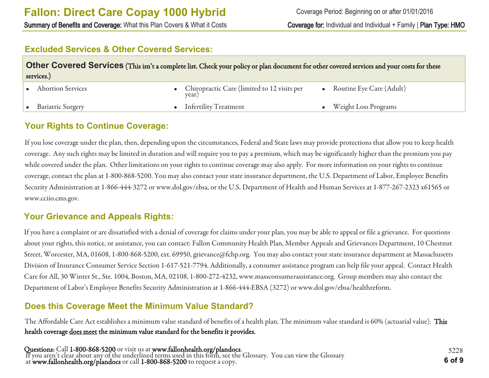Summary of Benefits and Coverage: What this Plan Covers & What it Costs Coverage for: Individual and Individual + Family | Plan Type: HMO

### **Excluded Services & Other Covered Services:**

| Other Covered Services (This isn't a complete list. Check your policy or plan document for other covered services and your costs for these<br>services.) |  |                                                        |  |                          |
|----------------------------------------------------------------------------------------------------------------------------------------------------------|--|--------------------------------------------------------|--|--------------------------|
| <b>Abortion Services</b>                                                                                                                                 |  | • Chiropractic Care (limited to 12 visits per<br>year) |  | Routine Eye Care (Adult) |
| <b>Bariatric Surgery</b>                                                                                                                                 |  | • Infertility Treatment                                |  | • Weight Loss Programs   |

## **Your Rights to Continue Coverage:**

If you lose coverage under the plan, then, depending upon the circumstances, Federal and State laws may provide protections that allow you to keep health coverage. Any such rights may be limited in duration and will require you to pay a premium, which may be significantly higher than the premium you pay while covered under the plan. Other limitations on your rights to continue coverage may also apply. For more information on your rights to continue coverage, contact the plan at 1-800-868-5200. You may also contact your state insurance department, the U.S. Department of Labor, Employee Benefits Security Administration at 1-866-444-3272 or www.dol.gov/ebsa, or the U.S. Department of Health and Human Services at 1-877-267-2323 x61565 or www.cciio.cms.gov.

### **Your Grievance and Appeals Rights:**

If you have a complaint or are dissatisfied with a denial of coverage for claims under your plan, you may be able to appeal or file a grievance. For questions about your rights, this notice, or assistance, you can contact: Fallon Community Health Plan, Member Appeals and Grievances Department, 10 Chestnut Street, Worcester, MA, 01608, 1-800-868-5200, ext. 69950, grievance@fchp.org. You may also contact your state insurance department at Massachusetts Division of Insurance Consumer Service Section 1-617-521-7794. Additionally, a consumer assistance program can help file your appeal. Contact Health Care for All, 30 Winter St., Ste. 1004, Boston, MA, 02108, 1-800-272-4232, www.massconsumerassistance.org. Group members may also contact the Department of Labor's Employee Benefits Security Administration at 1-866-444-EBSA (3272) or www.dol.gov/ebsa/healthreform.

# **Does this Coverage Meet the Minimum Value Standard?**

The Affordable Care Act establishes a minimum value standard of benefits of a health plan. The minimum value standard is 60% (actuarial value). This health coverage does meet the minimum value standard for the benefits it provides.

Questions: Call 1-800-868-5200 or visit us at www.fallonhealth.org/plandocs. If you aren't clear about any of the underlined terms used in this form, see the Glossary. You can view the Glossary at www.fallonhealth.org/plandocs or call 1-800-868-5200 to request a copy. **6 of 9**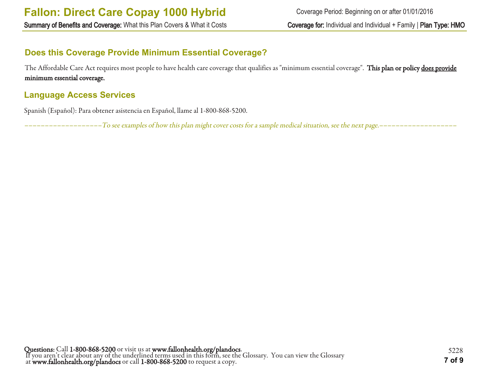# **Does this Coverage Provide Minimum Essential Coverage?**

The Affordable Care Act requires most people to have health care coverage that qualifies as "minimum essential coverage". This plan or policy does provide minimum essential coverage.

# **Language Access Services**

Spanish (Español): Para obtener asistencia en Español, llame al 1-800-868-5200.

–––––––––––––––––––To see examples of how this plan might cover costs for a sample medical situation, see the next page.–––––––––––––––––––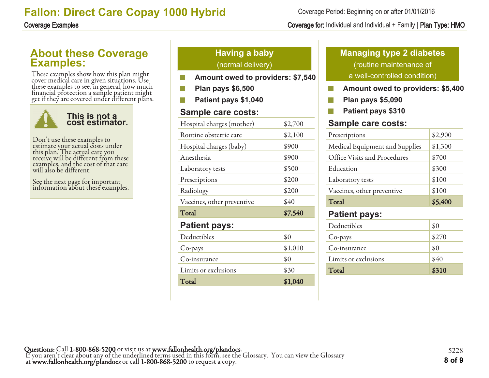# **About these Coverage Examples:**

These examples show how this plan might cover medical care in given situations. Use these examples to see, in general, how much financial protection a sample patient might get if they are covered under different plans.



Don't use these examples to estimate your actual costs under this plan. The actual care you receive will be different from these examples, and the cost of that care will also be different.

See the next page for important information about these examples.

# **Having a baby** (normal delivery)

- **Amount owed to providers: \$7,540**
- **Plan pays \$6,500**
- **Patient pays \$1,040**

# **Sample care costs:**

| Hospital charges (mother)  | \$2,700 |
|----------------------------|---------|
| Routine obstetric care     | \$2,100 |
| Hospital charges (baby)    | \$900   |
| Anesthesia                 | \$900   |
| Laboratory tests           | \$500   |
| Prescriptions              | \$200   |
| Radiology                  | \$200   |
| Vaccines, other preventive | \$40    |
| Total                      | \$7,540 |
| <b>Patient pays:</b>       |         |
| Deductibles                | \$0     |
| Co-pays                    | \$1,010 |
| Co-insurance               | \$0     |
| Limits or exclusions       | \$30    |
| Total                      | \$1,040 |

# **Managing type 2 diabetes** (routine maintenance of a well-controlled condition)

- **Amount owed to providers: \$5,400** P.
- $\mathcal{C}^{\mathcal{C}}$ **Plan pays \$5,090**
- **Patient pays \$310** F.

# **Sample care costs:**

| Prescriptions                  | \$2,900 |
|--------------------------------|---------|
| Medical Equipment and Supplies | \$1,300 |
| Office Visits and Procedures   | \$700   |
| Education                      | \$300   |
| Laboratory tests               | \$100   |
| Vaccines, other preventive     | \$100   |
| Total                          | \$5,400 |
| <b>Patient pays:</b>           |         |
| Deductibles                    |         |

| Total                | \$310 |
|----------------------|-------|
| Limits or exclusions | \$40  |
| Co-insurance         | \$0   |
| Co-pays              | \$270 |
| Deductibles          | \$0   |

Coverage Period: Beginning on or after 01/01/2016

# Coverage Examples Coverage for: Individual and Individual + Family | Plan Type: HMO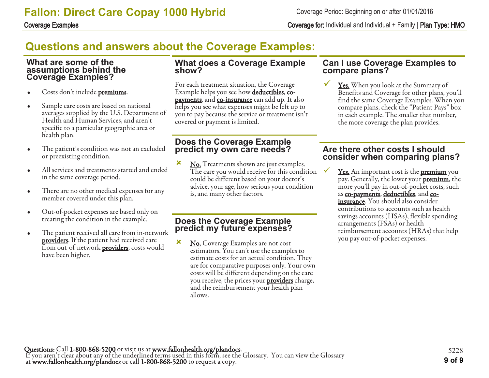Coverage Examples Coverage for: Individual and Individual + Family | Plan Type: HMO

# **Questions and answers about the Coverage Examples:**

### **What are some of the assumptions behind the Coverage Examples?**

- Costs don't include **premiums**.
- Sample care costs are based on national averages supplied by the U.S. Department of Health and Human Services, and aren't specific to a particular geographic area or health plan.
- The patient's condition was not an excluded or preexisting condition.
- All services and treatments started and ended in the same coverage period.
- There are no other medical expenses for any member covered under this plan.
- Out-of-pocket expenses are based only on treating the condition in the example.
- The patient received all care from in-network **providers**. If the patient had received care from out-of-network **providers**, costs would have been higher.

### **What does a Coverage Example show?**

For each treatment situation, the Coverage Example helps you see how **deductibles**, copayments, and co-insurance can add up. It also helps you see what expenses might be left up to you to pay because the service or treatment isn't covered or payment is limited.

### **Does the Coverage Example predict my own care needs?**

**x** No. Treatments shown are just examples. The care you would receive for this condition could be different based on your doctor's advice, your age, how serious your condition is, and many other factors.

### **Does the Coverage Example predict my future expenses?**

**x** No. Coverage Examples are not cost estimators. You can't use the examples to estimate costs for an actual condition. They are for comparative purposes only. Your own costs will be different depending on the care you receive, the prices your **providers** charge, and the reimbursement your health plan allows.

### **Can I use Coverage Examples to compare plans?**

Yes. When you look at the Summary of Benefits and Coverage for other plans, you'll find the same Coverage Examples. When you compare plans, check the "Patient Pays" box in each example. The smaller that number, the more coverage the plan provides.

### **Are there other costs I should consider when comparing plans?**

**<u>Yes.</u>** An important cost is the **premium** you pay. Generally, the lower your **premium**, the more you'll pay in out-of-pocket costs, such as co-payments, deductibles, and coinsurance. You should also consider contributions to accounts such as health savings accounts (HSAs), flexible spending arrangements (FSAs) or health reimbursement accounts (HRAs) that help you pay out-of-pocket expenses.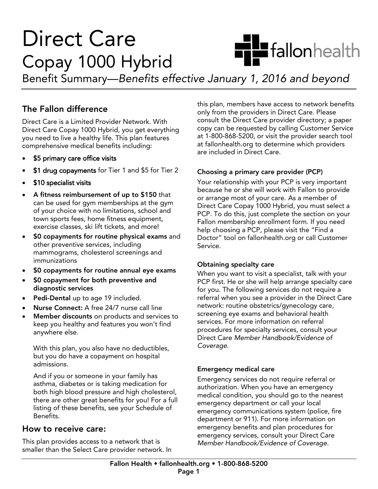# **Direct Care** Copay 1000 Hybrid



Benefit Summary—Benefits ef  $\mathcal{B}$  summary 1, 2016 and between January 1, 2016 and beyond beyond beyond beyond beyond beyond beyond beyond beyond  $\mathcal{B}$ 

# The Fallon difference

Direct Care is a Limited Provider Network. With Direct Care Copay 1000 Hybrid, you get everything. you need to live a healthy life. This plan features you need to live a health including. comprehensive medical benefits including:

- \$5 primary care office visits
- \$1 drug copayments for Tier 1 and \$5 for Tier 2
- \$10 specialist visits
- A fitness reimbursement of up to \$150 that<br>can be used for gym memberships at the gym of your choice with no limitations, school and town sports fees, home fitness equipment, exercise classes, ski lift tickets, and more!
- \$0 copayments for routine physical exams and<br>other preventive services including other preventive services, including<br>mammograms, cholesterol screenings and immunizations
- \$0 copayments for routine annual eye exams
- \$0 copayment for both preventive and<br>diagnostic services
- edi-Dental up to age 19 included.
- Nurse Connect: A free 24/7 nurse call line
- Member discounts on products and services to<br>keep you healthy and features you won't find anywhere else. anywhere else.

With this plan, you also have no deductibles,<br>but you do have a copayment on hospital admissions. admissions.

And if you or someone in your family has<br>asthma, diabetes or is taking medication for both high blood pressure and high cholesterol, there are other great benefits for you! For a full listing of these benefits, see your Schedule of Benefits, Benefits.

### How to receive care:

This plan provides access to a network that is This plan provides access to a network that is smaller than the Select Care provider network. In this plan, members have access to network benefits<br>only from the providers in Direct Care. Please consult the Direct Care provider directory; a paper copy can be requested by calling Customer Service at 1-800-868-5200, or visit the provider search tool at fallonhealth.org to determine which providers are included in Direct Care. are included in Direct Care.

**Choosing a primary care provider (PCP)**<br>Your relationship with your PCP is very important because he or she will work with Fallon to provide or arrange most of your care. As a member of Direct Care Copay 1000 Hybrid, you must select a PCP. To do this, just complete the section on your Fallon membership enrollment form. If you need help choosing a PCP, please visit the "Find a Doctor" tool on fallonhealth.org or call Customer Service. Service.

Obtaining specialty care<br>When you want to visit a specialist, talk with your PCP first. He or she will help arrange specialty care for you. The following services do not require a referral when you see a provider in the Direct Care network: routine obstetrics/gynecology care, screening eye exams and behavioral health services. For more information on referral procedures for specialty services, consult your procedures for special tends for special process. Coverage. Coverage.

**Emergency medical care<br>Emergency services do not require referral or** authorization. When you have an emergency medical condition, you should go to the nearest emergency department or call your local emergency communications system (police, fire department or 911). For more information on emergency benefits and plan procedures for emergency services, consult your Direct Care Member Handbook/Evidence of Coverage. Member Handbook/Evidence of Coverage.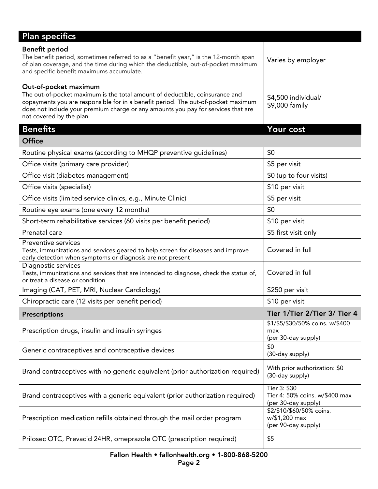| <b>Plan specifics</b>                                                                                                                                                                                                                                                                                       |                                                                       |
|-------------------------------------------------------------------------------------------------------------------------------------------------------------------------------------------------------------------------------------------------------------------------------------------------------------|-----------------------------------------------------------------------|
| <b>Benefit period</b><br>The benefit period, sometimes referred to as a "benefit year," is the 12-month span<br>of plan coverage, and the time during which the deductible, out-of-pocket maximum<br>and specific benefit maximums accumulate.                                                              | Varies by employer                                                    |
| Out-of-pocket maximum<br>The out-of-pocket maximum is the total amount of deductible, coinsurance and<br>copayments you are responsible for in a benefit period. The out-of-pocket maximum<br>does not include your premium charge or any amounts you pay for services that are<br>not covered by the plan. | \$4,500 individual/<br>\$9,000 family                                 |
| <b>Benefits</b>                                                                                                                                                                                                                                                                                             | Your cost                                                             |
| <b>Office</b>                                                                                                                                                                                                                                                                                               |                                                                       |
| Routine physical exams (according to MHQP preventive guidelines)                                                                                                                                                                                                                                            | \$0                                                                   |
| Office visits (primary care provider)                                                                                                                                                                                                                                                                       | \$5 per visit                                                         |
| Office visit (diabetes management)                                                                                                                                                                                                                                                                          | \$0 (up to four visits)                                               |
| Office visits (specialist)                                                                                                                                                                                                                                                                                  | \$10 per visit                                                        |
| Office visits (limited service clinics, e.g., Minute Clinic)                                                                                                                                                                                                                                                | \$5 per visit                                                         |
| Routine eye exams (one every 12 months)                                                                                                                                                                                                                                                                     | \$0                                                                   |
| Short-term rehabilitative services (60 visits per benefit period)                                                                                                                                                                                                                                           | \$10 per visit                                                        |
| Prenatal care                                                                                                                                                                                                                                                                                               | \$5 first visit only                                                  |
| Preventive services<br>Tests, immunizations and services geared to help screen for diseases and improve<br>early detection when symptoms or diagnosis are not present                                                                                                                                       | Covered in full                                                       |
| Diagnostic services<br>Tests, immunizations and services that are intended to diagnose, check the status of,<br>or treat a disease or condition                                                                                                                                                             | Covered in full                                                       |
| Imaging (CAT, PET, MRI, Nuclear Cardiology)                                                                                                                                                                                                                                                                 | \$250 per visit                                                       |
| Chiropractic care (12 visits per benefit period)                                                                                                                                                                                                                                                            | \$10 per visit                                                        |
| <b>Prescriptions</b>                                                                                                                                                                                                                                                                                        | Tier 1/Tier 2/Tier 3/ Tier 4                                          |
| Prescription drugs, insulin and insulin syringes                                                                                                                                                                                                                                                            | \$1/\$5/\$30/50% coins. w/\$400<br>max<br>(per 30-day supply)         |
| Generic contraceptives and contraceptive devices                                                                                                                                                                                                                                                            | \$0<br>(30-day supply)                                                |
| Brand contraceptives with no generic equivalent (prior authorization required)                                                                                                                                                                                                                              | With prior authorization: \$0<br>(30-day supply)                      |
| Brand contraceptives with a generic equivalent (prior authorization required)                                                                                                                                                                                                                               | Tier 3: \$30<br>Tier 4: 50% coins. w/\$400 max<br>(per 30-day supply) |
| Prescription medication refills obtained through the mail order program                                                                                                                                                                                                                                     | \$2/\$10/\$60/50% coins.<br>w/\$1,200 max<br>(per 90-day supply)      |
| Prilosec OTC, Prevacid 24HR, omeprazole OTC (prescription required)                                                                                                                                                                                                                                         | \$5                                                                   |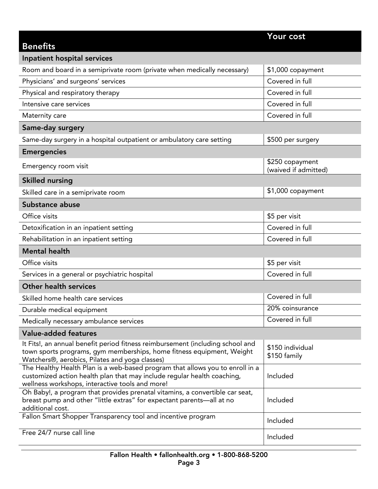| <b>Benefits</b>                                                                                                                                                                                             | Your cost                               |
|-------------------------------------------------------------------------------------------------------------------------------------------------------------------------------------------------------------|-----------------------------------------|
| Inpatient hospital services                                                                                                                                                                                 |                                         |
| Room and board in a semiprivate room (private when medically necessary)                                                                                                                                     | \$1,000 copayment                       |
| Physicians' and surgeons' services                                                                                                                                                                          | Covered in full                         |
| Physical and respiratory therapy                                                                                                                                                                            | Covered in full                         |
| Intensive care services                                                                                                                                                                                     | Covered in full                         |
| Maternity care                                                                                                                                                                                              | Covered in full                         |
| Same-day surgery                                                                                                                                                                                            |                                         |
| Same-day surgery in a hospital outpatient or ambulatory care setting                                                                                                                                        | \$500 per surgery                       |
| <b>Emergencies</b>                                                                                                                                                                                          |                                         |
| Emergency room visit                                                                                                                                                                                        | \$250 copayment<br>(waived if admitted) |
| <b>Skilled nursing</b>                                                                                                                                                                                      |                                         |
| Skilled care in a semiprivate room                                                                                                                                                                          | \$1,000 copayment                       |
| Substance abuse                                                                                                                                                                                             |                                         |
| Office visits                                                                                                                                                                                               | \$5 per visit                           |
| Detoxification in an inpatient setting                                                                                                                                                                      | Covered in full                         |
| Rehabilitation in an inpatient setting                                                                                                                                                                      | Covered in full                         |
| <b>Mental health</b>                                                                                                                                                                                        |                                         |
| Office visits                                                                                                                                                                                               | \$5 per visit                           |
| Services in a general or psychiatric hospital                                                                                                                                                               | Covered in full                         |
| <b>Other health services</b>                                                                                                                                                                                |                                         |
| Skilled home health care services                                                                                                                                                                           | Covered in full                         |
| Durable medical equipment                                                                                                                                                                                   | 20% coinsurance                         |
| Medically necessary ambulance services                                                                                                                                                                      | Covered in full                         |
| <b>Value-added features</b>                                                                                                                                                                                 |                                         |
| It Fits!, an annual benefit period fitness reimbursement (including school and<br>town sports programs, gym memberships, home fitness equipment, Weight<br>Watchers®, aerobics, Pilates and yoga classes)   | \$150 individual<br>\$150 family        |
| The Healthy Health Plan is a web-based program that allows you to enroll in a<br>customized action health plan that may include regular health coaching,<br>wellness workshops, interactive tools and more! | Included                                |
| Oh Baby!, a program that provides prenatal vitamins, a convertible car seat,<br>breast pump and other "little extras" for expectant parents-all at no<br>additional cost.                                   | Included                                |
| Fallon Smart Shopper Transparency tool and incentive program                                                                                                                                                | Included                                |
| Free 24/7 nurse call line                                                                                                                                                                                   | Included                                |